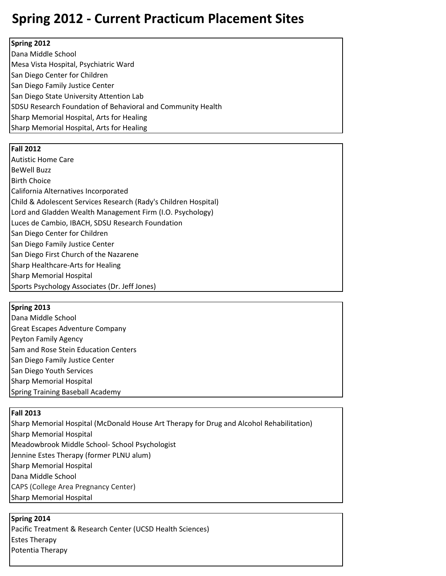# **Spring 2012 - Current Practicum Placement Sites**

#### **Spring 2012**

Dana Middle School Mesa Vista Hospital, Psychiatric Ward San Diego Center for Children San Diego Family Justice Center San Diego State University Attention Lab SDSU Research Foundation of Behavioral and Community Health Sharp Memorial Hospital, Arts for Healing Sharp Memorial Hospital, Arts for Healing

#### **Fall 2012**

Autistic Home Care BeWell Buzz Birth Choice California Alternatives Incorporated Child & Adolescent Services Research (Rady's Children Hospital) Lord and Gladden Wealth Management Firm (I.O. Psychology) Luces de Cambio, IBACH, SDSU Research Foundation San Diego Center for Children San Diego Family Justice Center San Diego First Church of the Nazarene Sharp Healthcare-Arts for Healing Sharp Memorial Hospital Sports Psychology Associates (Dr. Jeff Jones)

#### **Spring 2013**

Dana Middle School Great Escapes Adventure Company Peyton Family Agency Sam and Rose Stein Education Centers San Diego Family Justice Center San Diego Youth Services Sharp Memorial Hospital Spring Training Baseball Academy

## **Fall 2013**

Sharp Memorial Hospital (McDonald House Art Therapy for Drug and Alcohol Rehabilitation) Sharp Memorial Hospital Meadowbrook Middle School- School Psychologist Jennine Estes Therapy (former PLNU alum) Sharp Memorial Hospital Dana Middle School CAPS (College Area Pregnancy Center) Sharp Memorial Hospital

## **Spring 2014**

Pacific Treatment & Research Center (UCSD Health Sciences) Estes Therapy Potentia Therapy